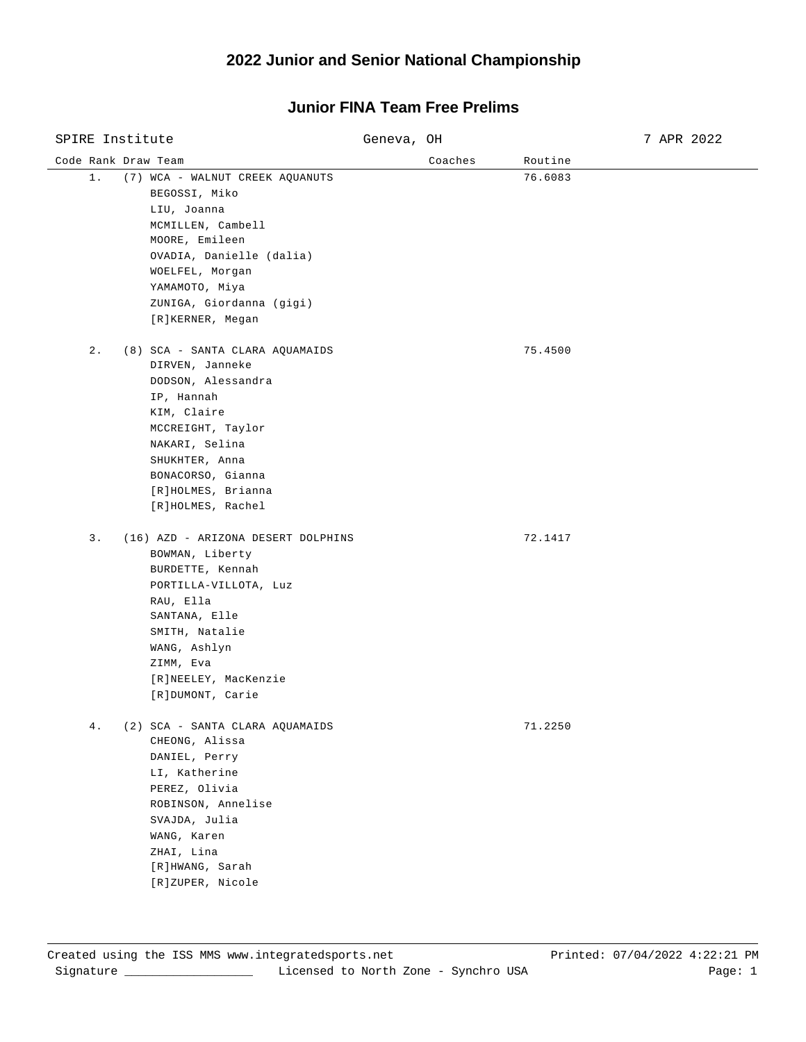| SPIRE Institute     |                                                                                                                                                                                                                                | Geneva, OH |         | 7 APR 2022 |  |
|---------------------|--------------------------------------------------------------------------------------------------------------------------------------------------------------------------------------------------------------------------------|------------|---------|------------|--|
| Code Rank Draw Team |                                                                                                                                                                                                                                |            | Coaches | Routine    |  |
| $1$ .               | (7) WCA - WALNUT CREEK AQUANUTS<br>BEGOSSI, Miko<br>LIU, Joanna<br>MCMILLEN, Cambell<br>MOORE, Emileen<br>OVADIA, Danielle (dalia)<br>WOELFEL, Morgan<br>ҮАМАМОТО, Міуа<br>ZUNIGA, Giordanna (gigi)<br>[R]KERNER, Megan        |            |         | 76.6083    |  |
| $2$ .               | (8) SCA - SANTA CLARA AQUAMAIDS<br>DIRVEN, Janneke<br>DODSON, Alessandra<br>IP, Hannah<br>KIM, Claire<br>MCCREIGHT, Taylor<br>NAKARI, Selina<br>SHUKHTER, Anna<br>BONACORSO, Gianna<br>[R]HOLMES, Brianna<br>[R]HOLMES, Rachel |            |         | 75.4500    |  |
| $3$ .               | (16) AZD - ARIZONA DESERT DOLPHINS<br>BOWMAN, Liberty<br>BURDETTE, Kennah<br>PORTILLA-VILLOTA, Luz<br>RAU, Ella<br>SANTANA, Elle<br>SMITH, Natalie<br>WANG, Ashlyn<br>ZIMM, Eva<br>[R]NEELEY, MacKenzie<br>[R]DUMONT, Carie    |            |         | 72.1417    |  |
| $4$ .               | (2) SCA - SANTA CLARA AQUAMAIDS<br>CHEONG, Alissa<br>DANIEL, Perry<br>LI, Katherine<br>PEREZ, Olivia<br>ROBINSON, Annelise<br>SVAJDA, Julia<br>WANG, Karen<br>ZHAI, Lina<br>[R]HWANG, Sarah<br>[R]ZUPER, Nicole                |            |         | 71.2250    |  |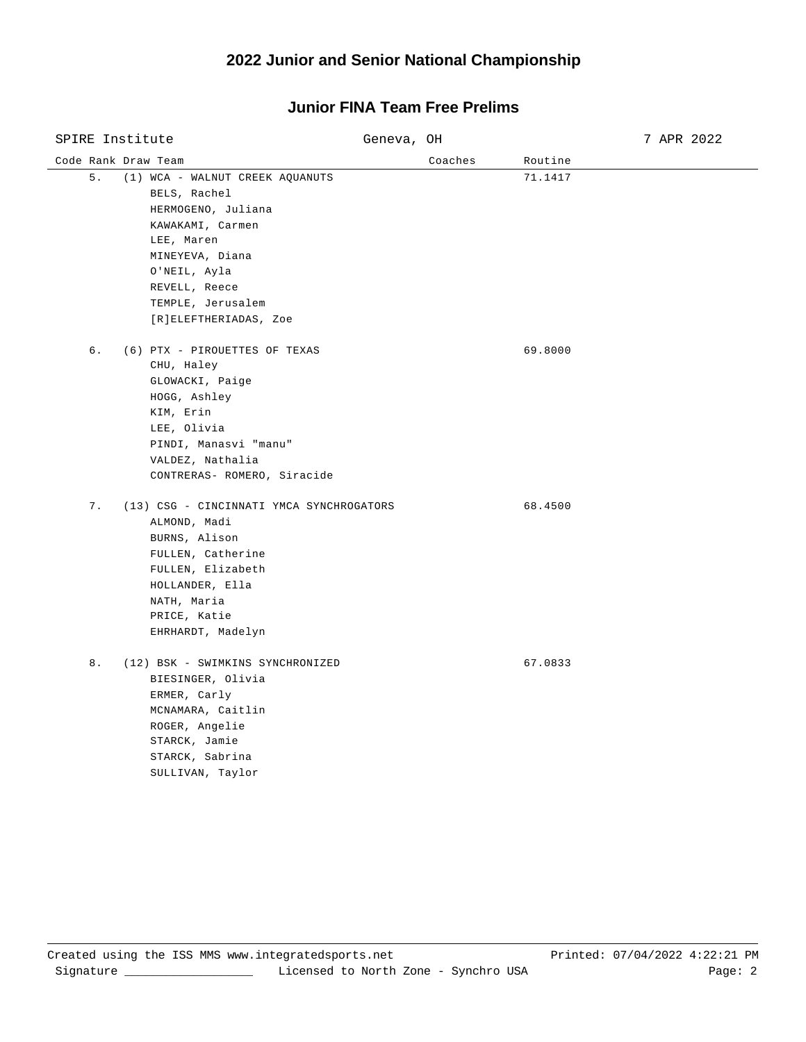| SPIRE Institute                                                                                                                                                                                                 | Geneva, OH | 7 APR 2022 |  |
|-----------------------------------------------------------------------------------------------------------------------------------------------------------------------------------------------------------------|------------|------------|--|
| Code Rank Draw Team                                                                                                                                                                                             | Coaches    | Routine    |  |
| 5.<br>(1) WCA - WALNUT CREEK AQUANUTS<br>BELS, Rachel<br>HERMOGENO, Juliana<br>KAWAKAMI, Carmen<br>LEE, Maren<br>MINEYEVA, Diana<br>O'NEIL, Ayla<br>REVELL, Reece<br>TEMPLE, Jerusalem<br>[R]ELEFTHERIADAS, Zoe |            | 71.1417    |  |
| 6.<br>(6) PTX - PIROUETTES OF TEXAS<br>CHU, Haley<br>GLOWACKI, Paige<br>HOGG, Ashley<br>KIM, Erin<br>LEE, Olivia<br>PINDI, Manasvi "manu"<br>VALDEZ, Nathalia<br>CONTRERAS- ROMERO, Siracide                    |            | 69.8000    |  |
| 7.<br>(13) CSG - CINCINNATI YMCA SYNCHROGATORS<br>ALMOND, Madi<br>BURNS, Alison<br>FULLEN, Catherine<br>FULLEN, Elizabeth<br>HOLLANDER, Ella<br>NATH, Maria<br>PRICE, Katie<br>EHRHARDT, Madelyn                |            | 68.4500    |  |
| 8.<br>(12) BSK - SWIMKINS SYNCHRONIZED<br>BIESINGER, Olivia<br>ERMER, Carly<br>MCNAMARA, Caitlin<br>ROGER, Angelie<br>STARCK, Jamie<br>STARCK, Sabrina<br>SULLIVAN, Taylor                                      |            | 67.0833    |  |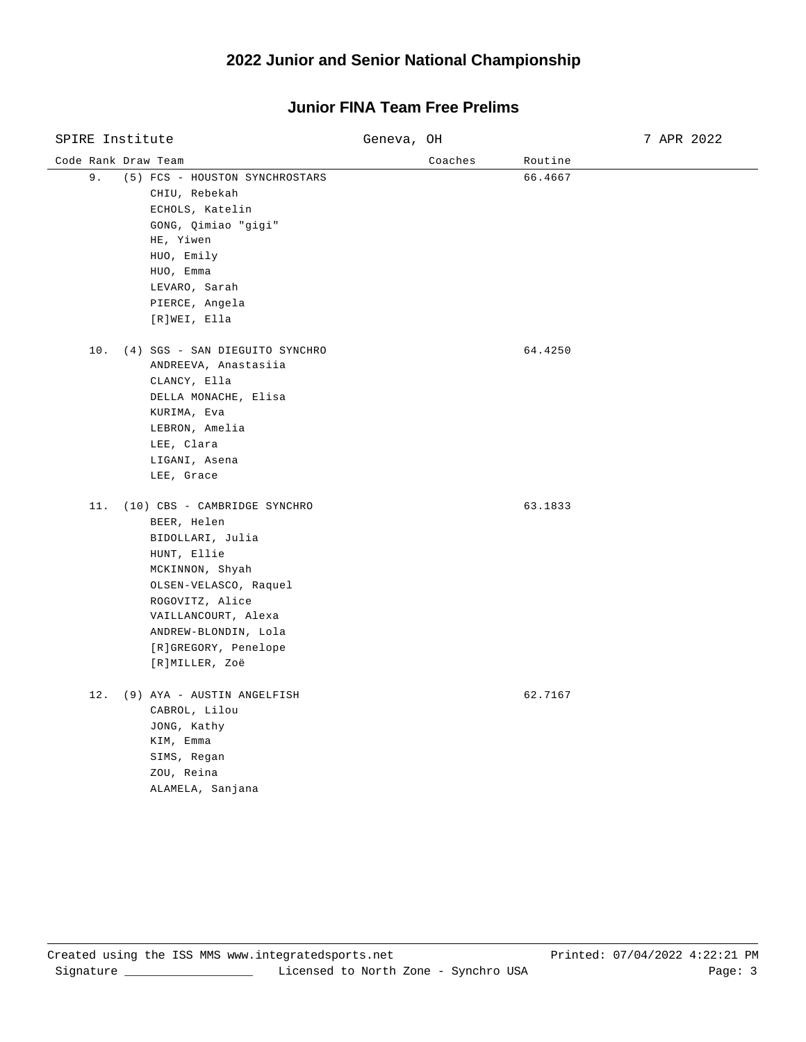| SPIRE Institute                                                                                                                                                                                                                            | Geneva, OH | 7 APR 2022 |
|--------------------------------------------------------------------------------------------------------------------------------------------------------------------------------------------------------------------------------------------|------------|------------|
| Code Rank Draw Team                                                                                                                                                                                                                        | Coaches    | Routine    |
| 9.<br>(5) FCS - HOUSTON SYNCHROSTARS<br>CHIU, Rebekah<br>ECHOLS, Katelin<br>GONG, Qimiao "gigi"<br>HE, Yiwen<br>HUO, Emily<br>HUO, Emma<br>LEVARO, Sarah<br>PIERCE, Angela<br>[R]WEI, Ella                                                 |            | 66.4667    |
| 10. (4) SGS - SAN DIEGUITO SYNCHRO<br>ANDREEVA, Anastasiia<br>CLANCY, Ella<br>DELLA MONACHE, Elisa<br>KURIMA, Eva<br>LEBRON, Amelia<br>LEE, Clara<br>LIGANI, Asena<br>LEE, Grace                                                           |            | 64.4250    |
| 11. (10) CBS - CAMBRIDGE SYNCHRO<br>BEER, Helen<br>BIDOLLARI, Julia<br>HUNT, Ellie<br>MCKINNON, Shyah<br>OLSEN-VELASCO, Raquel<br>ROGOVITZ, Alice<br>VAILLANCOURT, Alexa<br>ANDREW-BLONDIN, Lola<br>[R]GREGORY, Penelope<br>[R]MILLER, Zoë |            | 63.1833    |
| 12. (9) AYA - AUSTIN ANGELFISH<br>CABROL, Lilou<br>JONG, Kathy<br>KIM, Emma<br>SIMS, Regan<br>ZOU, Reina<br>ALAMELA, Sanjana                                                                                                               |            | 62.7167    |